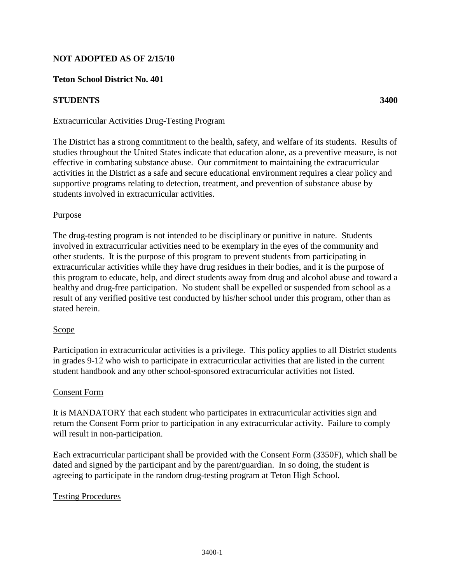## **NOT ADOPTED AS OF 2/15/10**

### **Teton School District No. 401**

#### **STUDENTS** 3400

#### Extracurricular Activities Drug-Testing Program

The District has a strong commitment to the health, safety, and welfare of its students. Results of studies throughout the United States indicate that education alone, as a preventive measure, is not effective in combating substance abuse. Our commitment to maintaining the extracurricular activities in the District as a safe and secure educational environment requires a clear policy and supportive programs relating to detection, treatment, and prevention of substance abuse by students involved in extracurricular activities.

#### Purpose

The drug-testing program is not intended to be disciplinary or punitive in nature. Students involved in extracurricular activities need to be exemplary in the eyes of the community and other students. It is the purpose of this program to prevent students from participating in extracurricular activities while they have drug residues in their bodies, and it is the purpose of this program to educate, help, and direct students away from drug and alcohol abuse and toward a healthy and drug-free participation. No student shall be expelled or suspended from school as a result of any verified positive test conducted by his/her school under this program, other than as stated herein.

#### Scope

Participation in extracurricular activities is a privilege. This policy applies to all District students in grades 9-12 who wish to participate in extracurricular activities that are listed in the current student handbook and any other school-sponsored extracurricular activities not listed.

#### Consent Form

It is MANDATORY that each student who participates in extracurricular activities sign and return the Consent Form prior to participation in any extracurricular activity. Failure to comply will result in non-participation.

Each extracurricular participant shall be provided with the Consent Form (3350F), which shall be dated and signed by the participant and by the parent/guardian. In so doing, the student is agreeing to participate in the random drug-testing program at Teton High School.

## Testing Procedures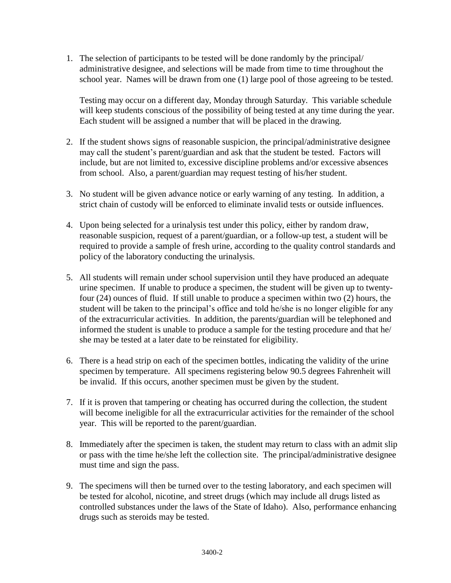1. The selection of participants to be tested will be done randomly by the principal/ administrative designee, and selections will be made from time to time throughout the school year. Names will be drawn from one (1) large pool of those agreeing to be tested.

Testing may occur on a different day, Monday through Saturday. This variable schedule will keep students conscious of the possibility of being tested at any time during the year. Each student will be assigned a number that will be placed in the drawing.

- 2. If the student shows signs of reasonable suspicion, the principal/administrative designee may call the student's parent/guardian and ask that the student be tested. Factors will include, but are not limited to, excessive discipline problems and/or excessive absences from school. Also, a parent/guardian may request testing of his/her student.
- 3. No student will be given advance notice or early warning of any testing. In addition, a strict chain of custody will be enforced to eliminate invalid tests or outside influences.
- 4. Upon being selected for a urinalysis test under this policy, either by random draw, reasonable suspicion, request of a parent/guardian, or a follow-up test, a student will be required to provide a sample of fresh urine, according to the quality control standards and policy of the laboratory conducting the urinalysis.
- 5. All students will remain under school supervision until they have produced an adequate urine specimen. If unable to produce a specimen, the student will be given up to twentyfour (24) ounces of fluid. If still unable to produce a specimen within two (2) hours, the student will be taken to the principal's office and told he/she is no longer eligible for any of the extracurricular activities. In addition, the parents/guardian will be telephoned and informed the student is unable to produce a sample for the testing procedure and that he/ she may be tested at a later date to be reinstated for eligibility.
- 6. There is a head strip on each of the specimen bottles, indicating the validity of the urine specimen by temperature. All specimens registering below 90.5 degrees Fahrenheit will be invalid. If this occurs, another specimen must be given by the student.
- 7. If it is proven that tampering or cheating has occurred during the collection, the student will become ineligible for all the extracurricular activities for the remainder of the school year. This will be reported to the parent/guardian.
- 8. Immediately after the specimen is taken, the student may return to class with an admit slip or pass with the time he/she left the collection site. The principal/administrative designee must time and sign the pass.
- 9. The specimens will then be turned over to the testing laboratory, and each specimen will be tested for alcohol, nicotine, and street drugs (which may include all drugs listed as controlled substances under the laws of the State of Idaho). Also, performance enhancing drugs such as steroids may be tested.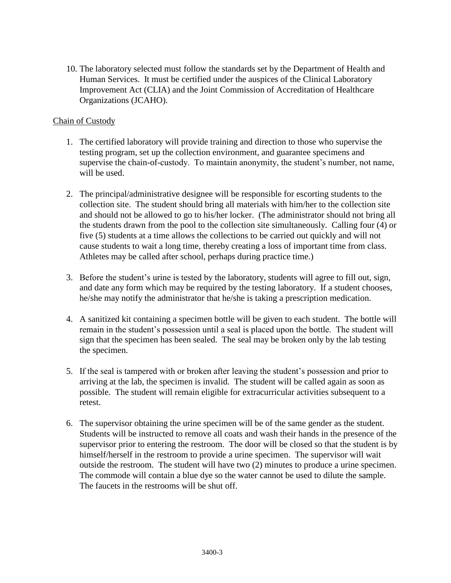10. The laboratory selected must follow the standards set by the Department of Health and Human Services. It must be certified under the auspices of the Clinical Laboratory Improvement Act (CLIA) and the Joint Commission of Accreditation of Healthcare Organizations (JCAHO).

### Chain of Custody

- 1. The certified laboratory will provide training and direction to those who supervise the testing program, set up the collection environment, and guarantee specimens and supervise the chain-of-custody. To maintain anonymity, the student's number, not name, will be used.
- 2. The principal/administrative designee will be responsible for escorting students to the collection site. The student should bring all materials with him/her to the collection site and should not be allowed to go to his/her locker. (The administrator should not bring all the students drawn from the pool to the collection site simultaneously. Calling four (4) or five (5) students at a time allows the collections to be carried out quickly and will not cause students to wait a long time, thereby creating a loss of important time from class. Athletes may be called after school, perhaps during practice time.)
- 3. Before the student's urine is tested by the laboratory, students will agree to fill out, sign, and date any form which may be required by the testing laboratory. If a student chooses, he/she may notify the administrator that he/she is taking a prescription medication.
- 4. A sanitized kit containing a specimen bottle will be given to each student. The bottle will remain in the student's possession until a seal is placed upon the bottle. The student will sign that the specimen has been sealed. The seal may be broken only by the lab testing the specimen.
- 5. If the seal is tampered with or broken after leaving the student's possession and prior to arriving at the lab, the specimen is invalid. The student will be called again as soon as possible. The student will remain eligible for extracurricular activities subsequent to a retest.
- 6. The supervisor obtaining the urine specimen will be of the same gender as the student. Students will be instructed to remove all coats and wash their hands in the presence of the supervisor prior to entering the restroom. The door will be closed so that the student is by himself/herself in the restroom to provide a urine specimen. The supervisor will wait outside the restroom. The student will have two (2) minutes to produce a urine specimen. The commode will contain a blue dye so the water cannot be used to dilute the sample. The faucets in the restrooms will be shut off.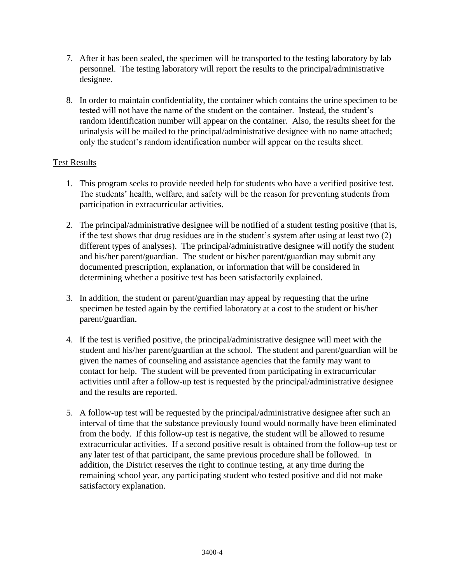- 7. After it has been sealed, the specimen will be transported to the testing laboratory by lab personnel. The testing laboratory will report the results to the principal/administrative designee.
- 8. In order to maintain confidentiality, the container which contains the urine specimen to be tested will not have the name of the student on the container. Instead, the student's random identification number will appear on the container. Also, the results sheet for the urinalysis will be mailed to the principal/administrative designee with no name attached; only the student's random identification number will appear on the results sheet.

# Test Results

- 1. This program seeks to provide needed help for students who have a verified positive test. The students' health, welfare, and safety will be the reason for preventing students from participation in extracurricular activities.
- 2. The principal/administrative designee will be notified of a student testing positive (that is, if the test shows that drug residues are in the student's system after using at least two (2) different types of analyses). The principal/administrative designee will notify the student and his/her parent/guardian. The student or his/her parent/guardian may submit any documented prescription, explanation, or information that will be considered in determining whether a positive test has been satisfactorily explained.
- 3. In addition, the student or parent/guardian may appeal by requesting that the urine specimen be tested again by the certified laboratory at a cost to the student or his/her parent/guardian.
- 4. If the test is verified positive, the principal/administrative designee will meet with the student and his/her parent/guardian at the school. The student and parent/guardian will be given the names of counseling and assistance agencies that the family may want to contact for help. The student will be prevented from participating in extracurricular activities until after a follow-up test is requested by the principal/administrative designee and the results are reported.
- 5. A follow-up test will be requested by the principal/administrative designee after such an interval of time that the substance previously found would normally have been eliminated from the body. If this follow-up test is negative, the student will be allowed to resume extracurricular activities. If a second positive result is obtained from the follow-up test or any later test of that participant, the same previous procedure shall be followed. In addition, the District reserves the right to continue testing, at any time during the remaining school year, any participating student who tested positive and did not make satisfactory explanation.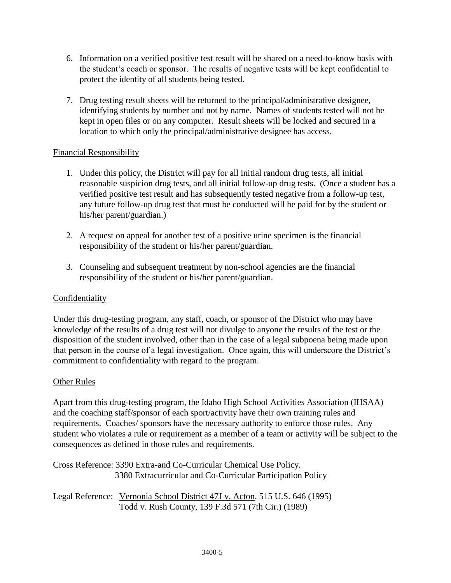- 6. Information on a verified positive test result will be shared on a need-to-know basis with the student's coach or sponsor. The results of negative tests will be kept confidential to protect the identity of all students being tested.
- 7. Drug testing result sheets will be returned to the principal/administrative designee, identifying students by number and not by name. Names of students tested will not be kept in open files or on any computer. Result sheets will be locked and secured in a location to which only the principal/administrative designee has access.

# Financial Responsibility

- 1. Under this policy, the District will pay for all initial random drug tests, all initial reasonable suspicion drug tests, and all initial follow-up drug tests. (Once a student has a verified positive test result and has subsequently tested negative from a follow-up test, any future follow-up drug test that must be conducted will be paid for by the student or his/her parent/guardian.)
- 2. A request on appeal for another test of a positive urine specimen is the financial responsibility of the student or his/her parent/guardian.
- 3. Counseling and subsequent treatment by non-school agencies are the financial responsibility of the student or his/her parent/guardian.

# Confidentiality

Under this drug-testing program, any staff, coach, or sponsor of the District who may have knowledge of the results of a drug test will not divulge to anyone the results of the test or the disposition of the student involved, other than in the case of a legal subpoena being made upon that person in the course of a legal investigation. Once again, this will underscore the District's commitment to confidentiality with regard to the program.

## Other Rules

Apart from this drug-testing program, the Idaho High School Activities Association (IHSAA) and the coaching staff/sponsor of each sport/activity have their own training rules and requirements. Coaches/ sponsors have the necessary authority to enforce those rules. Any student who violates a rule or requirement as a member of a team or activity will be subject to the consequences as defined in those rules and requirements.

|  | Cross Reference: 3390 Extra-and Co-Curricular Chemical Use Policy. |
|--|--------------------------------------------------------------------|
|  | 3380 Extracurricular and Co-Curricular Participation Policy        |

Legal Reference: Vernonia School District 47J v. Acton, 515 U.S. 646 (1995) Todd v. Rush County, 139 F.3d 571 (7th Cir.) (1989)